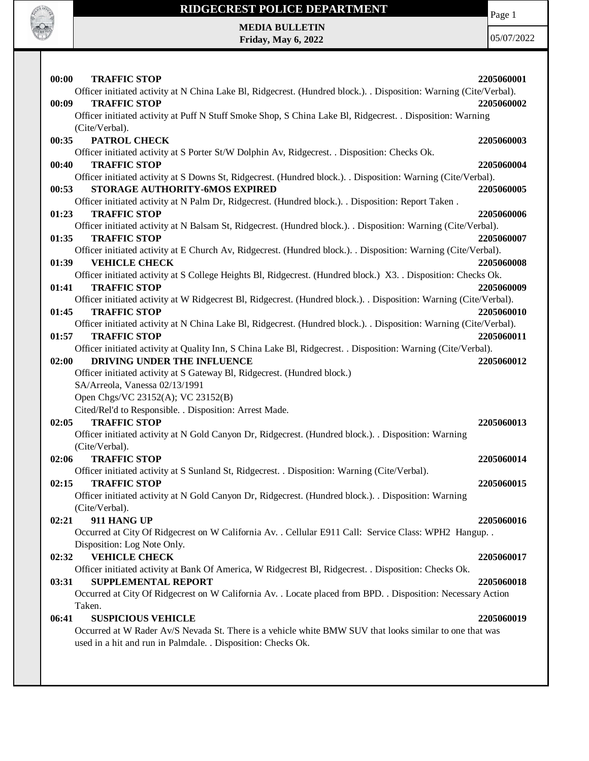

## **RIDGECREST POLICE DEPARTMENT MEDIA BULLETIN**

**Friday, May 6, 2022**

Page 1

| 00:00<br><b>TRAFFIC STOP</b>                                                                                       |            |
|--------------------------------------------------------------------------------------------------------------------|------------|
|                                                                                                                    | 2205060001 |
| Officer initiated activity at N China Lake Bl, Ridgecrest. (Hundred block.). . Disposition: Warning (Cite/Verbal). |            |
| 00:09<br><b>TRAFFIC STOP</b>                                                                                       | 2205060002 |
| Officer initiated activity at Puff N Stuff Smoke Shop, S China Lake Bl, Ridgecrest. . Disposition: Warning         |            |
| (Cite/Verbal).                                                                                                     |            |
| PATROL CHECK<br>00:35                                                                                              | 2205060003 |
| Officer initiated activity at S Porter St/W Dolphin Av, Ridgecrest. . Disposition: Checks Ok.                      |            |
| 00:40<br><b>TRAFFIC STOP</b>                                                                                       | 2205060004 |
| Officer initiated activity at S Downs St, Ridgecrest. (Hundred block.). . Disposition: Warning (Cite/Verbal).      |            |
| STORAGE AUTHORITY-6MOS EXPIRED<br>00:53                                                                            | 2205060005 |
| Officer initiated activity at N Palm Dr, Ridgecrest. (Hundred block.). . Disposition: Report Taken .               |            |
| 01:23<br><b>TRAFFIC STOP</b>                                                                                       | 2205060006 |
| Officer initiated activity at N Balsam St, Ridgecrest. (Hundred block.). . Disposition: Warning (Cite/Verbal).     |            |
| <b>TRAFFIC STOP</b><br>01:35                                                                                       | 2205060007 |
| Officer initiated activity at E Church Av, Ridgecrest. (Hundred block.). Disposition: Warning (Cite/Verbal).       |            |
| <b>VEHICLE CHECK</b><br>01:39                                                                                      | 2205060008 |
| Officer initiated activity at S College Heights Bl, Ridgecrest. (Hundred block.) X3. Disposition: Checks Ok.       |            |
| <b>TRAFFIC STOP</b><br>01:41                                                                                       | 2205060009 |
| Officer initiated activity at W Ridgecrest Bl, Ridgecrest. (Hundred block.). Disposition: Warning (Cite/Verbal).   |            |
| <b>TRAFFIC STOP</b><br>01:45                                                                                       | 2205060010 |
| Officer initiated activity at N China Lake Bl, Ridgecrest. (Hundred block.). . Disposition: Warning (Cite/Verbal). |            |
| <b>TRAFFIC STOP</b><br>01:57                                                                                       | 2205060011 |
| Officer initiated activity at Quality Inn, S China Lake Bl, Ridgecrest. . Disposition: Warning (Cite/Verbal).      |            |
| DRIVING UNDER THE INFLUENCE<br>02:00                                                                               | 2205060012 |
|                                                                                                                    |            |
| Officer initiated activity at S Gateway Bl, Ridgecrest. (Hundred block.)                                           |            |
| SA/Arreola, Vanessa 02/13/1991                                                                                     |            |
| Open Chgs/VC 23152(A); VC 23152(B)                                                                                 |            |
|                                                                                                                    |            |
| Cited/Rel'd to Responsible. . Disposition: Arrest Made.                                                            |            |
| <b>TRAFFIC STOP</b><br>02:05                                                                                       | 2205060013 |
| Officer initiated activity at N Gold Canyon Dr, Ridgecrest. (Hundred block.). . Disposition: Warning               |            |
| (Cite/Verbal).                                                                                                     |            |
| <b>TRAFFIC STOP</b><br>02:06                                                                                       | 2205060014 |
| Officer initiated activity at S Sunland St, Ridgecrest. . Disposition: Warning (Cite/Verbal).                      |            |
| <b>TRAFFIC STOP</b><br>02:15                                                                                       | 2205060015 |
| Officer initiated activity at N Gold Canyon Dr, Ridgecrest. (Hundred block.). . Disposition: Warning               |            |
| (Cite/Verbal).                                                                                                     |            |
| <b>911 HANG UP</b><br>02:21                                                                                        | 2205060016 |
| Occurred at City Of Ridgecrest on W California Av. . Cellular E911 Call: Service Class: WPH2 Hangup. .             |            |
| Disposition: Log Note Only.                                                                                        |            |
| <b>VEHICLE CHECK</b><br>02:32                                                                                      | 2205060017 |
| Officer initiated activity at Bank Of America, W Ridgecrest Bl, Ridgecrest. . Disposition: Checks Ok.              |            |
| <b>SUPPLEMENTAL REPORT</b><br>03:31                                                                                | 2205060018 |
|                                                                                                                    |            |
| Occurred at City Of Ridgecrest on W California Av. . Locate placed from BPD. . Disposition: Necessary Action       |            |
| Taken.                                                                                                             |            |
| 06:41<br><b>SUSPICIOUS VEHICLE</b>                                                                                 | 2205060019 |
| Occurred at W Rader Av/S Nevada St. There is a vehicle white BMW SUV that looks similar to one that was            |            |
| used in a hit and run in Palmdale. . Disposition: Checks Ok.                                                       |            |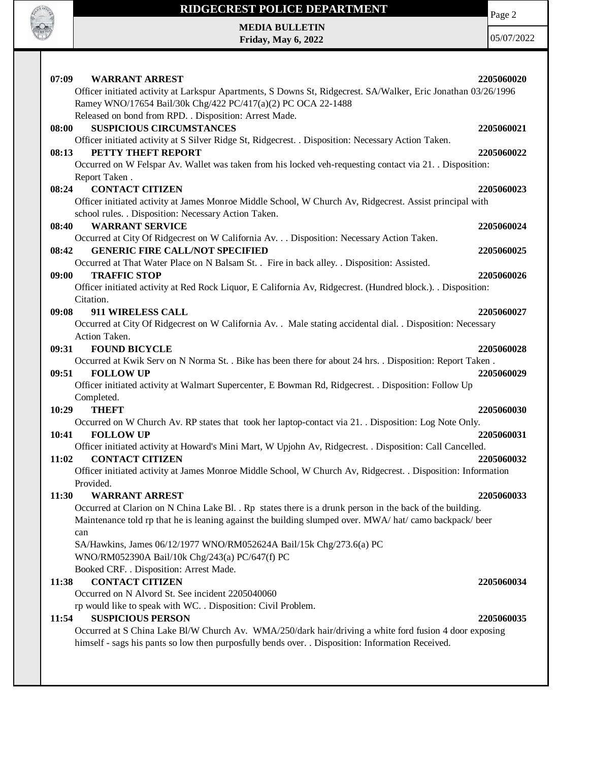Page 2

## **RIDGECREST POLICE DEPARTMENT**

**CALLER OF PASS** 

Г

|       | <b>MEDIA BULLETIN</b>                                                                                                               |            |
|-------|-------------------------------------------------------------------------------------------------------------------------------------|------------|
|       | <b>Friday, May 6, 2022</b>                                                                                                          | 05/07/20   |
|       |                                                                                                                                     |            |
| 07:09 | <b>WARRANT ARREST</b>                                                                                                               | 2205060020 |
|       | Officer initiated activity at Larkspur Apartments, S Downs St, Ridgecrest. SA/Walker, Eric Jonathan 03/26/1996                      |            |
|       | Ramey WNO/17654 Bail/30k Chg/422 PC/417(a)(2) PC OCA 22-1488                                                                        |            |
|       | Released on bond from RPD. . Disposition: Arrest Made.                                                                              |            |
| 08:00 | <b>SUSPICIOUS CIRCUMSTANCES</b>                                                                                                     | 2205060021 |
|       | Officer initiated activity at S Silver Ridge St, Ridgecrest. . Disposition: Necessary Action Taken.                                 |            |
| 08:13 | PETTY THEFT REPORT                                                                                                                  | 2205060022 |
|       | Occurred on W Felspar Av. Wallet was taken from his locked veh-requesting contact via 21. Disposition:                              |            |
|       | Report Taken.                                                                                                                       |            |
| 08:24 | <b>CONTACT CITIZEN</b>                                                                                                              | 2205060023 |
|       | Officer initiated activity at James Monroe Middle School, W Church Av, Ridgecrest. Assist principal with                            |            |
|       | school rules. . Disposition: Necessary Action Taken.                                                                                |            |
| 08:40 | <b>WARRANT SERVICE</b>                                                                                                              | 2205060024 |
|       | Occurred at City Of Ridgecrest on W California Av. Disposition: Necessary Action Taken.                                             |            |
| 08:42 | <b>GENERIC FIRE CALL/NOT SPECIFIED</b>                                                                                              | 2205060025 |
|       | Occurred at That Water Place on N Balsam St. . Fire in back alley. . Disposition: Assisted.                                         |            |
| 09:00 | <b>TRAFFIC STOP</b><br>Officer initiated activity at Red Rock Liquor, E California Av, Ridgecrest. (Hundred block.). . Disposition: | 2205060026 |
|       | Citation.                                                                                                                           |            |
| 09:08 | 911 WIRELESS CALL                                                                                                                   | 2205060027 |
|       | Occurred at City Of Ridgecrest on W California Av. . Male stating accidental dial. . Disposition: Necessary                         |            |
|       | Action Taken.                                                                                                                       |            |
| 09:31 | <b>FOUND BICYCLE</b>                                                                                                                | 2205060028 |
|       | Occurred at Kwik Serv on N Norma St. . Bike has been there for about 24 hrs. . Disposition: Report Taken .                          |            |
| 09:51 | <b>FOLLOW UP</b>                                                                                                                    | 2205060029 |
|       | Officer initiated activity at Walmart Supercenter, E Bowman Rd, Ridgecrest. . Disposition: Follow Up                                |            |
|       | Completed.                                                                                                                          |            |
| 10:29 | <b>THEFT</b>                                                                                                                        | 2205060030 |
|       | Occurred on W Church Av. RP states that took her laptop-contact via 21. Disposition: Log Note Only.                                 |            |
| 10:41 | <b>FOLLOW UP</b>                                                                                                                    | 2205060031 |
|       | Officer initiated activity at Howard's Mini Mart, W Upjohn Av, Ridgecrest. . Disposition: Call Cancelled.                           |            |
| 11:02 | <b>CONTACT CITIZEN</b>                                                                                                              | 2205060032 |
|       | Officer initiated activity at James Monroe Middle School, W Church Av, Ridgecrest. . Disposition: Information                       |            |
|       | Provided.                                                                                                                           |            |
| 11:30 | <b>WARRANT ARREST</b>                                                                                                               | 2205060033 |
|       | Occurred at Clarion on N China Lake Bl. . Rp states there is a drunk person in the back of the building.                            |            |
|       | Maintenance told rp that he is leaning against the building slumped over. MWA/ hat/ camo backpack/ beer                             |            |
|       | can<br>SA/Hawkins, James 06/12/1977 WNO/RM052624A Bail/15k Chg/273.6(a) PC                                                          |            |
|       | WNO/RM052390A Bail/10k Chg/243(a) PC/647(f) PC                                                                                      |            |
|       | Booked CRF. . Disposition: Arrest Made.                                                                                             |            |
| 11:38 | <b>CONTACT CITIZEN</b>                                                                                                              | 2205060034 |
|       | Occurred on N Alvord St. See incident 2205040060                                                                                    |            |
|       | rp would like to speak with WC. . Disposition: Civil Problem.                                                                       |            |
| 11:54 | <b>SUSPICIOUS PERSON</b>                                                                                                            | 2205060035 |
|       | Occurred at S China Lake Bl/W Church Av. WMA/250/dark hair/driving a white ford fusion 4 door exposing                              |            |
|       | himself - sags his pants so low then purposfully bends over. . Disposition: Information Received.                                   |            |
|       |                                                                                                                                     |            |
|       |                                                                                                                                     |            |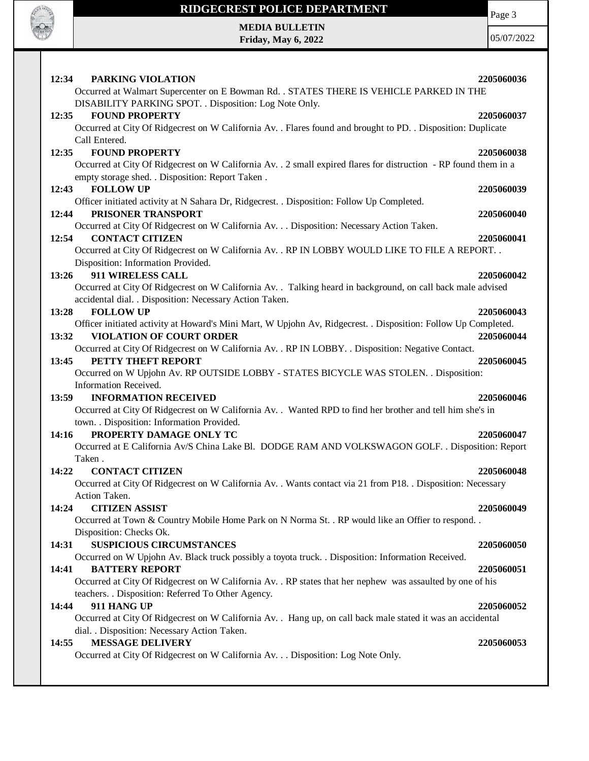

## **RIDGECREST POLICE DEPARTMENT MEDIA BULLETIN**

**Friday, May 6, 2022**

Page 3

| PARKING VIOLATION<br>12:34                                                                                                                         | 2205060036 |
|----------------------------------------------------------------------------------------------------------------------------------------------------|------------|
| Occurred at Walmart Supercenter on E Bowman Rd. . STATES THERE IS VEHICLE PARKED IN THE<br>DISABILITY PARKING SPOT. . Disposition: Log Note Only.  |            |
| 12:35<br><b>FOUND PROPERTY</b>                                                                                                                     | 2205060037 |
| Occurred at City Of Ridgecrest on W California Av. . Flares found and brought to PD. . Disposition: Duplicate                                      |            |
| Call Entered.                                                                                                                                      |            |
| <b>FOUND PROPERTY</b><br>12:35<br>Occurred at City Of Ridgecrest on W California Av. . 2 small expired flares for distruction - RP found them in a | 2205060038 |
| empty storage shed. . Disposition: Report Taken.                                                                                                   |            |
| <b>FOLLOW UP</b><br>12:43                                                                                                                          | 2205060039 |
| Officer initiated activity at N Sahara Dr, Ridgecrest. . Disposition: Follow Up Completed.                                                         |            |
| PRISONER TRANSPORT<br>12:44                                                                                                                        | 2205060040 |
| Occurred at City Of Ridgecrest on W California Av. Disposition: Necessary Action Taken.                                                            |            |
| 12:54<br><b>CONTACT CITIZEN</b>                                                                                                                    | 2205060041 |
| Occurred at City Of Ridgecrest on W California Av. . RP IN LOBBY WOULD LIKE TO FILE A REPORT. .                                                    |            |
| Disposition: Information Provided.                                                                                                                 |            |
| 911 WIRELESS CALL<br>13:26<br>Occurred at City Of Ridgecrest on W California Av. . Talking heard in background, on call back male advised          | 2205060042 |
| accidental dial. . Disposition: Necessary Action Taken.                                                                                            |            |
| <b>FOLLOW UP</b><br>13:28                                                                                                                          | 2205060043 |
| Officer initiated activity at Howard's Mini Mart, W Upjohn Av, Ridgecrest. . Disposition: Follow Up Completed.                                     |            |
| <b>VIOLATION OF COURT ORDER</b><br>13:32                                                                                                           | 2205060044 |
| Occurred at City Of Ridgecrest on W California Av. . RP IN LOBBY. . Disposition: Negative Contact.                                                 |            |
| PETTY THEFT REPORT<br>13:45                                                                                                                        | 2205060045 |
| Occurred on W Upjohn Av. RP OUTSIDE LOBBY - STATES BICYCLE WAS STOLEN. . Disposition:                                                              |            |
| Information Received.                                                                                                                              |            |
| <b>INFORMATION RECEIVED</b><br>13:59<br>Occurred at City Of Ridgecrest on W California Av. . Wanted RPD to find her brother and tell him she's in  | 2205060046 |
| town. . Disposition: Information Provided.                                                                                                         |            |
| PROPERTY DAMAGE ONLY TC<br>14:16                                                                                                                   | 2205060047 |
| Occurred at E California Av/S China Lake Bl. DODGE RAM AND VOLKSWAGON GOLF. . Disposition: Report                                                  |            |
| Taken.                                                                                                                                             |            |
| <b>CONTACT CITIZEN</b><br>14:22                                                                                                                    | 2205060048 |
| Occurred at City Of Ridgecrest on W California Av. . Wants contact via 21 from P18. . Disposition: Necessary                                       |            |
| Action Taken.                                                                                                                                      |            |
| <b>CITIZEN ASSIST</b><br>14:24                                                                                                                     | 2205060049 |
| Occurred at Town & Country Mobile Home Park on N Norma St. . RP would like an Offier to respond. .                                                 |            |
| Disposition: Checks Ok.<br><b>SUSPICIOUS CIRCUMSTANCES</b><br>14:31                                                                                | 2205060050 |
| Occurred on W Upjohn Av. Black truck possibly a toyota truck. . Disposition: Information Received.                                                 |            |
| <b>BATTERY REPORT</b><br>14:41                                                                                                                     | 2205060051 |
| Occurred at City Of Ridgecrest on W California Av. . RP states that her nephew was assaulted by one of his                                         |            |
| teachers. . Disposition: Referred To Other Agency.                                                                                                 |            |
| 911 HANG UP                                                                                                                                        |            |
| 14:44                                                                                                                                              | 2205060052 |
| Occurred at City Of Ridgecrest on W California Av. . Hang up, on call back male stated it was an accidental                                        |            |
| dial. . Disposition: Necessary Action Taken.                                                                                                       |            |
| <b>MESSAGE DELIVERY</b><br>14:55                                                                                                                   | 2205060053 |
| Occurred at City Of Ridgecrest on W California Av. Disposition: Log Note Only.                                                                     |            |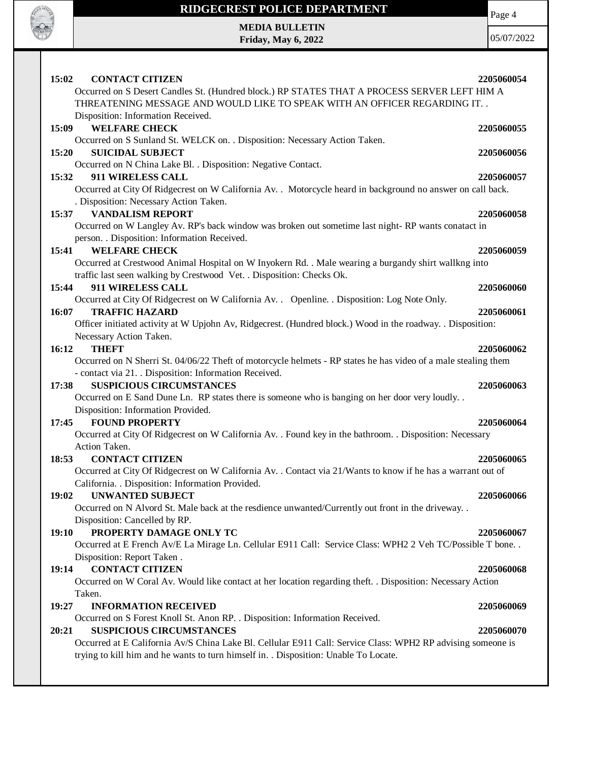

## **RIDGECREST POLICE DEPARTMENT**

**MEDIA BULLETIN Friday, May 6, 2022**

Page 4

| <b>CONTACT CITIZEN</b><br>15:02<br>Occurred on S Desert Candles St. (Hundred block.) RP STATES THAT A PROCESS SERVER LEFT HIM A<br>THREATENING MESSAGE AND WOULD LIKE TO SPEAK WITH AN OFFICER REGARDING IT. .<br>Disposition: Information Received. | 2205060054 |
|------------------------------------------------------------------------------------------------------------------------------------------------------------------------------------------------------------------------------------------------------|------------|
| <b>WELFARE CHECK</b><br>15:09                                                                                                                                                                                                                        | 2205060055 |
| Occurred on S Sunland St. WELCK on. . Disposition: Necessary Action Taken.<br>15:20<br><b>SUICIDAL SUBJECT</b><br>Occurred on N China Lake Bl. . Disposition: Negative Contact.                                                                      | 2205060056 |
| 15:32<br>911 WIRELESS CALL<br>Occurred at City Of Ridgecrest on W California Av. . Motorcycle heard in background no answer on call back.<br>. Disposition: Necessary Action Taken.                                                                  | 2205060057 |
| 15:37 VANDALISM REPORT<br>Occurred on W Langley Av. RP's back window was broken out sometime last night-RP wants conatact in                                                                                                                         | 2205060058 |
| person. . Disposition: Information Received.<br><b>WELFARE CHECK</b><br>15:41<br>Occurred at Crestwood Animal Hospital on W Inyokern Rd. . Male wearing a burgandy shirt wallkng into                                                                | 2205060059 |
| traffic last seen walking by Crestwood Vet. . Disposition: Checks Ok.<br>911 WIRELESS CALL<br>15:44<br>Occurred at City Of Ridgecrest on W California Av. . Openline. . Disposition: Log Note Only.                                                  | 2205060060 |
| <b>TRAFFIC HAZARD</b><br>16:07<br>Officer initiated activity at W Upjohn Av, Ridgecrest. (Hundred block.) Wood in the roadway. . Disposition:<br>Necessary Action Taken.                                                                             | 2205060061 |
| 16:12<br><b>THEFT</b><br>Occurred on N Sherri St. 04/06/22 Theft of motorcycle helmets - RP states he has video of a male stealing them<br>- contact via 21. . Disposition: Information Received.                                                    | 2205060062 |
| <b>SUSPICIOUS CIRCUMSTANCES</b><br>17:38<br>Occurred on E Sand Dune Ln. RP states there is someone who is banging on her door very loudly                                                                                                            | 2205060063 |
| Disposition: Information Provided.<br><b>FOUND PROPERTY</b><br>17:45<br>Occurred at City Of Ridgecrest on W California Av. . Found key in the bathroom. . Disposition: Necessary                                                                     | 2205060064 |
| Action Taken.<br><b>CONTACT CITIZEN</b><br>18:53<br>Occurred at City Of Ridgecrest on W California Av. . Contact via 21/Wants to know if he has a warrant out of<br>California. . Disposition: Information Provided.                                 | 2205060065 |
| <b>UNWANTED SUBJECT</b><br>19:02<br>Occurred on N Alvord St. Male back at the resdience unwanted/Currently out front in the driveway. .<br>Disposition: Cancelled by RP.                                                                             | 2205060066 |
| PROPERTY DAMAGE ONLY TC<br><b>19:10</b><br>Occurred at E French Av/E La Mirage Ln. Cellular E911 Call: Service Class: WPH2 2 Veh TC/Possible T bone<br>Disposition: Report Taken.                                                                    | 2205060067 |
| <b>CONTACT CITIZEN</b><br>19:14<br>Occurred on W Coral Av. Would like contact at her location regarding theft. . Disposition: Necessary Action<br>Taken.                                                                                             | 2205060068 |
| 19:27<br><b>INFORMATION RECEIVED</b><br>Occurred on S Forest Knoll St. Anon RP. . Disposition: Information Received.                                                                                                                                 | 2205060069 |
| <b>SUSPICIOUS CIRCUMSTANCES</b><br>20:21<br>Occurred at E California Av/S China Lake Bl. Cellular E911 Call: Service Class: WPH2 RP advising someone is<br>trying to kill him and he wants to turn himself in. . Disposition: Unable To Locate.      | 2205060070 |